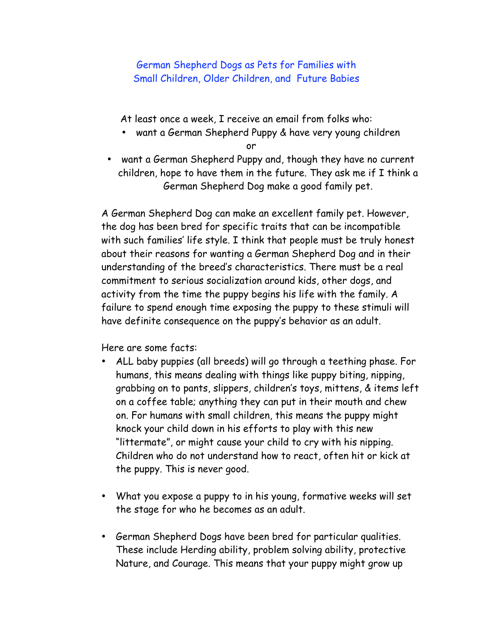## German Shepherd Dogs as Pets for Families with Small Children, Older Children, and Future Babies

At least once a week, I receive an email from folks who:

• want a German Shepherd Puppy & have very young children

or

• want a German Shepherd Puppy and, though they have no current children, hope to have them in the future. They ask me if I think a German Shepherd Dog make a good family pet.

A German Shepherd Dog can make an excellent family pet. However, the dog has been bred for specific traits that can be incompatible with such families' life style. I think that people must be truly honest about their reasons for wanting a German Shepherd Dog and in their understanding of the breed's characteristics. There must be a real commitment to serious socialization around kids, other dogs, and activity from the time the puppy begins his life with the family. A failure to spend enough time exposing the puppy to these stimuli will have definite consequence on the puppy's behavior as an adult.

Here are some facts:

- ALL baby puppies (all breeds) will go through a teething phase. For humans, this means dealing with things like puppy biting, nipping, grabbing on to pants, slippers, children's toys, mittens, & items left on a coffee table; anything they can put in their mouth and chew on. For humans with small children, this means the puppy might knock your child down in his efforts to play with this new "littermate", or might cause your child to cry with his nipping. Children who do not understand how to react, often hit or kick at the puppy. This is never good.
- What you expose a puppy to in his young, formative weeks will set the stage for who he becomes as an adult.
- German Shepherd Dogs have been bred for particular qualities. These include Herding ability, problem solving ability, protective Nature, and Courage. This means that your puppy might grow up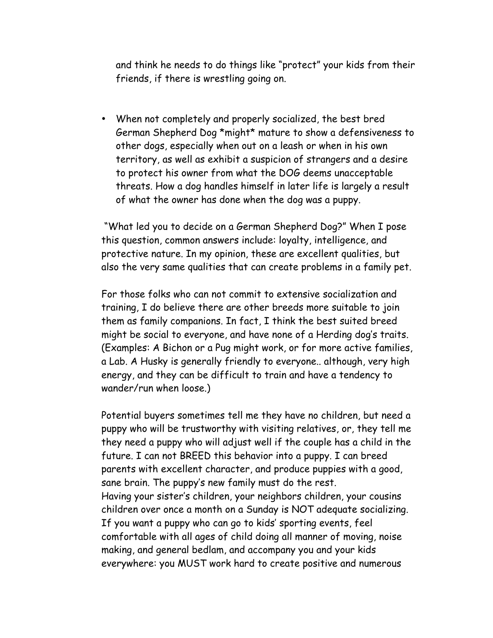and think he needs to do things like "protect" your kids from their friends, if there is wrestling going on.

• When not completely and properly socialized, the best bred German Shepherd Dog \*might\* mature to show a defensiveness to other dogs, especially when out on a leash or when in his own territory, as well as exhibit a suspicion of strangers and a desire to protect his owner from what the DOG deems unacceptable threats. How a dog handles himself in later life is largely a result of what the owner has done when the dog was a puppy.

 "What led you to decide on a German Shepherd Dog?" When I pose this question, common answers include: loyalty, intelligence, and protective nature. In my opinion, these are excellent qualities, but also the very same qualities that can create problems in a family pet.

For those folks who can not commit to extensive socialization and training, I do believe there are other breeds more suitable to join them as family companions. In fact, I think the best suited breed might be social to everyone, and have none of a Herding dog's traits. (Examples: A Bichon or a Pug might work, or for more active families, a Lab. A Husky is generally friendly to everyone.. although, very high energy, and they can be difficult to train and have a tendency to wander/run when loose.)

Potential buyers sometimes tell me they have no children, but need a puppy who will be trustworthy with visiting relatives, or, they tell me they need a puppy who will adjust well if the couple has a child in the future. I can not BREED this behavior into a puppy. I can breed parents with excellent character, and produce puppies with a good, sane brain. The puppy's new family must do the rest. Having your sister's children, your neighbors children, your cousins children over once a month on a Sunday is NOT adequate socializing. If you want a puppy who can go to kids' sporting events, feel comfortable with all ages of child doing all manner of moving, noise making, and general bedlam, and accompany you and your kids everywhere: you MUST work hard to create positive and numerous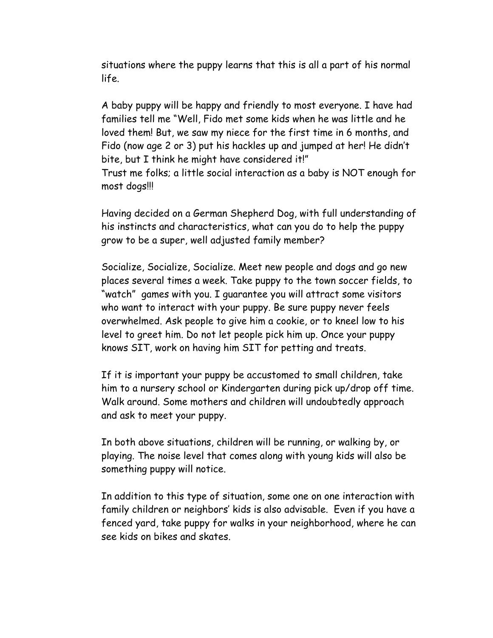situations where the puppy learns that this is all a part of his normal life.

A baby puppy will be happy and friendly to most everyone. I have had families tell me "Well, Fido met some kids when he was little and he loved them! But, we saw my niece for the first time in 6 months, and Fido (now age 2 or 3) put his hackles up and jumped at her! He didn't bite, but I think he might have considered it!" Trust me folks; a little social interaction as a baby is NOT enough for most dogs!!!

Having decided on a German Shepherd Dog, with full understanding of his instincts and characteristics, what can you do to help the puppy grow to be a super, well adjusted family member?

Socialize, Socialize, Socialize. Meet new people and dogs and go new places several times a week. Take puppy to the town soccer fields, to "watch" games with you. I guarantee you will attract some visitors who want to interact with your puppy. Be sure puppy never feels overwhelmed. Ask people to give him a cookie, or to kneel low to his level to greet him. Do not let people pick him up. Once your puppy knows SIT, work on having him SIT for petting and treats.

If it is important your puppy be accustomed to small children, take him to a nursery school or Kindergarten during pick up/drop off time. Walk around. Some mothers and children will undoubtedly approach and ask to meet your puppy.

In both above situations, children will be running, or walking by, or playing. The noise level that comes along with young kids will also be something puppy will notice.

In addition to this type of situation, some one on one interaction with family children or neighbors' kids is also advisable. Even if you have a fenced yard, take puppy for walks in your neighborhood, where he can see kids on bikes and skates.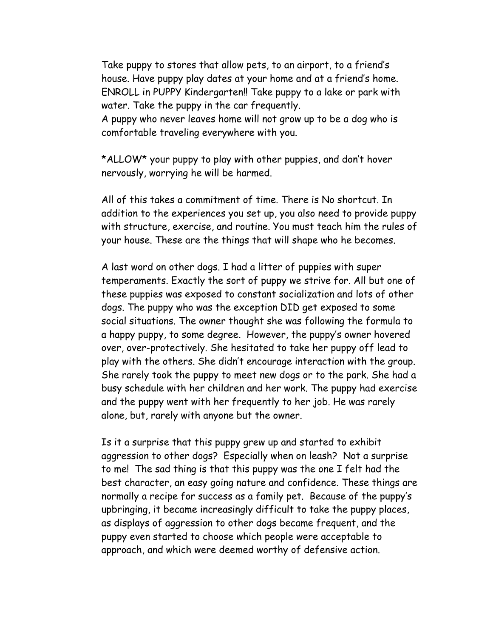Take puppy to stores that allow pets, to an airport, to a friend's house. Have puppy play dates at your home and at a friend's home. ENROLL in PUPPY Kindergarten!! Take puppy to a lake or park with water. Take the puppy in the car frequently.

A puppy who never leaves home will not grow up to be a dog who is comfortable traveling everywhere with you.

\*ALLOW\* your puppy to play with other puppies, and don't hover nervously, worrying he will be harmed.

All of this takes a commitment of time. There is No shortcut. In addition to the experiences you set up, you also need to provide puppy with structure, exercise, and routine. You must teach him the rules of your house. These are the things that will shape who he becomes.

A last word on other dogs. I had a litter of puppies with super temperaments. Exactly the sort of puppy we strive for. All but one of these puppies was exposed to constant socialization and lots of other dogs. The puppy who was the exception DID get exposed to some social situations. The owner thought she was following the formula to a happy puppy, to some degree. However, the puppy's owner hovered over, over-protectively. She hesitated to take her puppy off lead to play with the others. She didn't encourage interaction with the group. She rarely took the puppy to meet new dogs or to the park. She had a busy schedule with her children and her work. The puppy had exercise and the puppy went with her frequently to her job. He was rarely alone, but, rarely with anyone but the owner.

Is it a surprise that this puppy grew up and started to exhibit aggression to other dogs? Especially when on leash? Not a surprise to me! The sad thing is that this puppy was the one I felt had the best character, an easy going nature and confidence. These things are normally a recipe for success as a family pet. Because of the puppy's upbringing, it became increasingly difficult to take the puppy places, as displays of aggression to other dogs became frequent, and the puppy even started to choose which people were acceptable to approach, and which were deemed worthy of defensive action.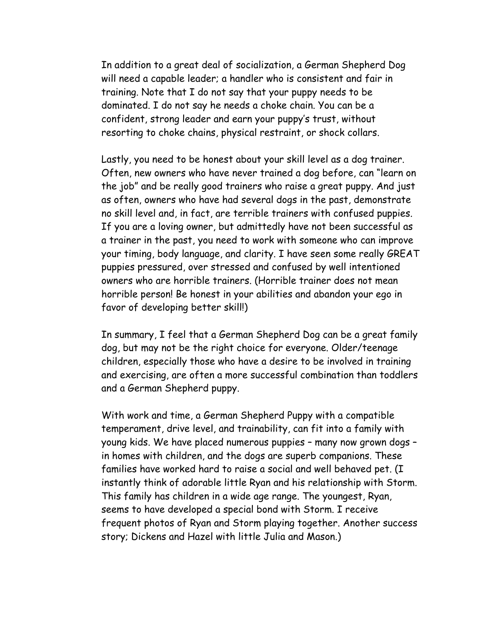In addition to a great deal of socialization, a German Shepherd Dog will need a capable leader; a handler who is consistent and fair in training. Note that I do not say that your puppy needs to be dominated. I do not say he needs a choke chain. You can be a confident, strong leader and earn your puppy's trust, without resorting to choke chains, physical restraint, or shock collars.

Lastly, you need to be honest about your skill level as a dog trainer. Often, new owners who have never trained a dog before, can "learn on the job" and be really good trainers who raise a great puppy. And just as often, owners who have had several dogs in the past, demonstrate no skill level and, in fact, are terrible trainers with confused puppies. If you are a loving owner, but admittedly have not been successful as a trainer in the past, you need to work with someone who can improve your timing, body language, and clarity. I have seen some really GREAT puppies pressured, over stressed and confused by well intentioned owners who are horrible trainers. (Horrible trainer does not mean horrible person! Be honest in your abilities and abandon your ego in favor of developing better skill!)

In summary, I feel that a German Shepherd Dog can be a great family dog, but may not be the right choice for everyone. Older/teenage children, especially those who have a desire to be involved in training and exercising, are often a more successful combination than toddlers and a German Shepherd puppy.

With work and time, a German Shepherd Puppy with a compatible temperament, drive level, and trainability, can fit into a family with young kids. We have placed numerous puppies – many now grown dogs – in homes with children, and the dogs are superb companions. These families have worked hard to raise a social and well behaved pet. (I instantly think of adorable little Ryan and his relationship with Storm. This family has children in a wide age range. The youngest, Ryan, seems to have developed a special bond with Storm. I receive frequent photos of Ryan and Storm playing together. Another success story; Dickens and Hazel with little Julia and Mason.)